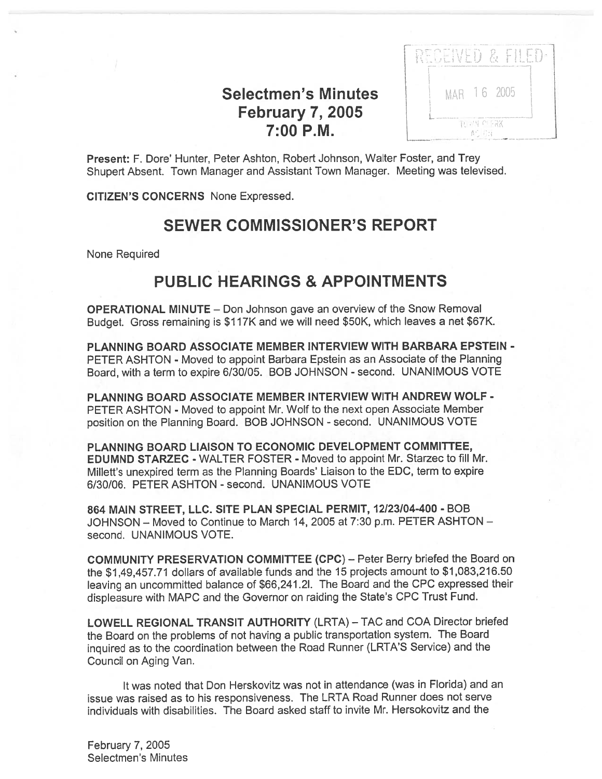## Selectmen's Minutes **February 7, 2005** 7:00 P.M.

| in Bre<br>able to short | Faus o<br>ally by the banded production and are strongly a highly primarily and strong translated services are with |  |  |
|-------------------------|---------------------------------------------------------------------------------------------------------------------|--|--|
|                         | MAR 16 2005                                                                                                         |  |  |
|                         |                                                                                                                     |  |  |

Present: F. Dore' Hunter, Peter Ashton, Robert Johnson, Walter Foster, and Trey Shupert Absent. Town Manager and Assistant Town Manager. Meeting was televised.

CITIZEN'S CONCERNS None Expressed.

## SEWER COMMISSIONER'S REPORT

None Required

## PUBLIC HEARINGS & APPOINTMENTS

OPERATIONAL MINUTE — Don Johnson gave an overview of the Snow Removal Budget. Gross remaining is \$117K and we will need \$50K, which leaves <sup>a</sup> net \$67K.

PLANNING BOARD ASSOCIATE MEMBER INTERVIEW WITH BARBARA EPSTEIN - PETER ASHTON - Moved to appoint Barbara Epstein as an Associate of the Planning Board, with a term to expire 6/30/05. BOB JOHNSON - second. UNANIMOUS VOTE

PLANNING BOARD ASSOCIATE MEMBER INTERVIEW WITH ANDREW WOLF - PETER ASHTON - Moved to appoint Mr. Wolf to the next open Associate Member position on the Planning Board. BOB JOHNSON - second. UNANIMOUS VOTE

PLANNING BOARD LIAISON TO ECONOMIC DEVELOPMENT COMMITTEE, EDUMND STARZEC - WALTER FOSTER - Moved to appoint Mr. Starzec to fill Mr. Millett's unexpired term as the Planning Boards' Liaison to the EDO, term to expire 6/30/06. PETER ASHION -second. UNANIMOUS VOTE

864 MAIN STREET, LLC. SITE PLAN SPECIAL PERMIT, 12/23/04-400 - BOB JOHNSON — Moved to Continue to March 14, 2005 at 7:30 p.m. PETER ASHTON second. UNANIMOUS VOTE.

COMMUNITY PRESERVATION COMMITTEE (CPC) — Peter Berry briefed the Board on the \$1 ,49,457.71 dollars of available funds and the 15 projects amount to \$1,083,216.50 leaving an uncommitted balance of \$66,241.21. The Board and the CPC expresse<sup>d</sup> their displeasure with MAPC and the Governor on raiding the State's CPC Trust Fund.

LOWELL REGIONAL TRANSIT AUTHORITY (LRTA) — TAO and COA Director briefed the Board on the problems of not having <sup>a</sup> public transportation system. The Board inquired as to the coordination between the Road Runner (LRTA'S Service) and the Council on Aging Van.

It was noted that Don Herskovitz was not in attendance (was in Florida) and an issue was raised as to his responsiveness. The LRTA Road Runner does not serve individuals with disabilities. The Board asked staff to invite Mr. Hersokovitz and the

February 7, 2005 Selectmen's Minutes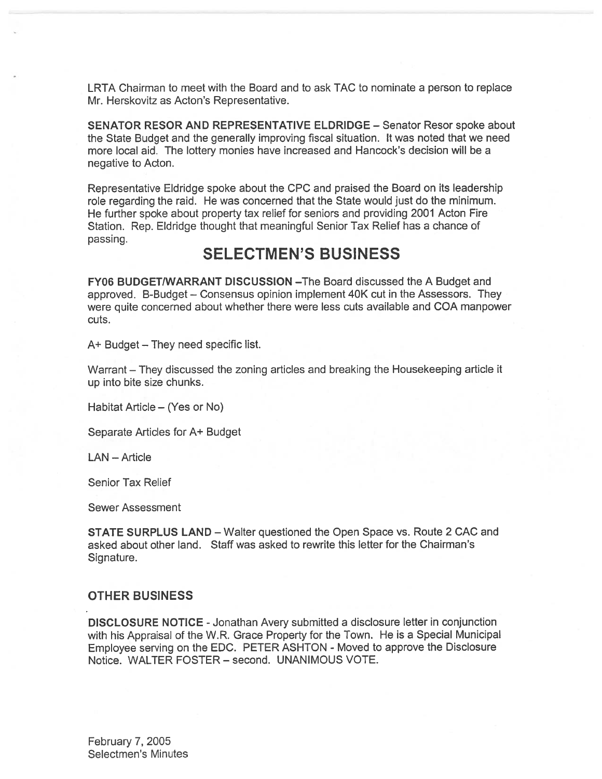LRTA Chairman to meet with the Board and to ask TAC to nominate <sup>a</sup> person to replace Mr. Herskovitz as Acton's Representative.

SENATOR RESOR AND REPRESENTATIVE ELDRIDGE — Senator Resor spoke about the State Budget and the generally improving fiscal situation. It was noted that we need more local aid. The lottery monies have increased and Hancock's decision will be <sup>a</sup> negative to Acton.

Representative Eldridge spoke about the CPC and praised the Board on its leadership role regarding the raid. He was concerned that the State would just do the minimum. He further spoke about property tax relief for seniors and providing 2001 Acton Fire Station. Rep. Eldridge thought that meaningful Senior Tax Relief has <sup>a</sup> chance of passing.

## SELECTMEN'S BUSINESS

FY06 BUDGET/WARRANT DISCUSSION —The Board discussed the A Budget and approved. B-Budget — Consensus opinion implement 40K cut in the Assessors. They were quite concerned about whether there were less cuts available and COA manpower cuts.

A+ Budget — They need specific list.

Warrant — They discussed the zoning articles and breaking the Housekeeping article it up into bite size chunks.

Habitat Article — (Yes or No)

Separate Articles for A+ Budget

LAN — Article

Senior Tax Relief

Sewer Assessment

STATE SURPLUS LAND — Walter questioned the Open Space vs. Route 2 CAC and asked about other land. Staff was asked to rewrite this letter for the Chairman's Signature.

#### OTHER BUSINESS

DISCLOSURE NOTICE -Jonathan Avery submitted <sup>a</sup> disclosure letter in conjunction with his Appraisal of the W.R. Grace Property for the Town. He is <sup>a</sup> Special Municipal Employee serving on the EDC. PETER ASHTON - Moved to approve the Disclosure Notice. WALTER FOSTER - second. UNANIMOUS VOTE.

February 7, 2005 Selectmen's Minutes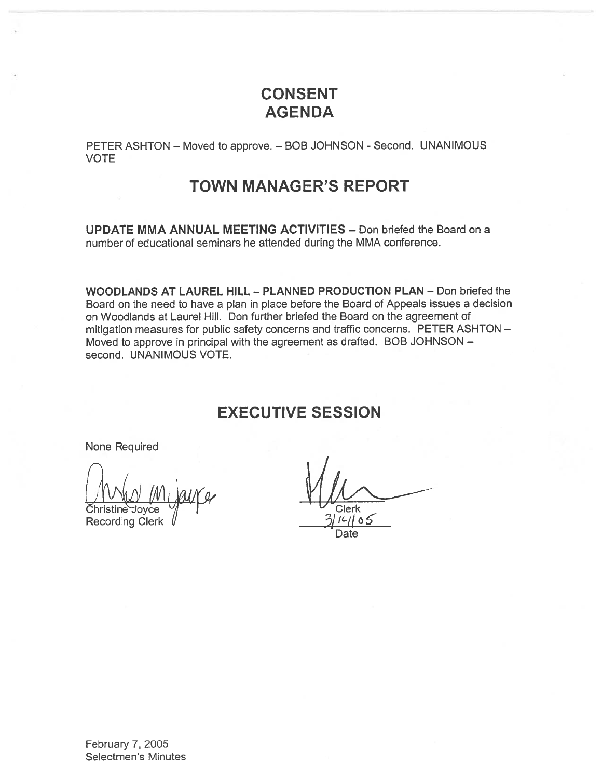# CONSENT AGENDA

PETER ASHTON - Moved to approve. - BOB JOHNSON - Second. UNANIMOUS VOTE

## TOWN MANAGER'S REPORT

UPDATE MMA ANNUAL MEETING ACTIVITIES — Don briefed the Board on <sup>a</sup> number of educational seminars he attended during the MMA conference.

WOODLANDS AT LAUREL HILL - PLANNED PRODUCTION PLAN - Don briefed the Board on the need to have <sup>a</sup> plan in place before the Board of Appeals issues <sup>a</sup> decision on Woodlands at Laurel Hill. Don further briefed the Board on the agreemen<sup>t</sup> of mitigation measures for public safety concerns and traffic concerns. PETER ASHTON — Moved to approve in principal with the agreemen<sup>t</sup> as drafted. BOB JOHNSON second. UNANIMOUS VOTE.

## EXECUTIVE SESSION

None Required

Recording Clerk  $\sqrt{3}$  /  $\frac{3}{16}$  /  $\frac{3}{16}$  /  $\frac{3}{16}$  /  $\frac{3}{16}$  /  $\frac{3}{16}$  /  $\frac{3}{16}$  /  $\frac{3}{16}$  /  $\frac{3}{16}$  /  $\frac{3}{16}$  /  $\frac{3}{16}$  /  $\frac{3}{16}$  /  $\frac{3}{16}$  /  $\frac{3}{16}$  /  $\frac{3}{16}$  /  $\frac{3}{16}$  /

Clerk

Date

February 7, 2005 Selectmen's Minutes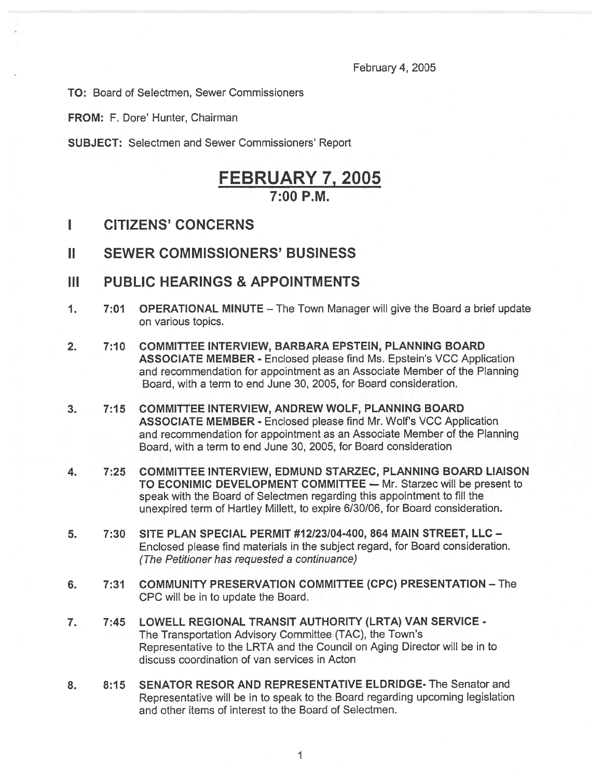February 4, 2005

TO: Board of Selectmen, Sewer Commissioners

FROM: F. Dore' Hunter, Chairman

SUBJECT: Selectmen and Sewer Commissioners' Report

## FEBRUARY 7, 2005  $7.00 P M$

- I CITIZENS' CONCERNS
- II SEWER COMMISSIONERS' BUSINESS
- III PUBLIC HEARINGS & APPOINTMENTS
- 1. 7:01 OPERATIONAL MINUTE The Town Manager will give the Board <sup>a</sup> brief update on various topics.
- 2. 7:10 COMMITTEE INTERVIEW, BARBARA EPSTEIN, PLANNING BOARD ASSOCIATE MEMBER - Enclosed please find Ms. Epstein's VCC Application and recommendation for appointment as an Associate Member of the Planning Board, with <sup>a</sup> term to end June 30, 2005, for Board consideration.
- 3. 7:15 COMMITTEE INTERVIEW, ANDREW WOLF, PLANNING BOARD ASSOCIATE MEMBER - Enclosed please find Mr. Wolf's VCC Application and recommendation for appointment as an Associate Member of the Planning Board, with <sup>a</sup> term to end June 30, 2005, for Board consideration
- 4. 7:25 COMMITTEE INTERVIEW, EDMUND STARZEC, PLANNING BOARD LIAISON TO ECONIMIC DEVELOPMENT COMMITTEE - Mr. Starzec will be present to speak with the Board of Selectmen regarding this appointment to fill the unexpired term of Hartley Millett, to expire 6/30/06, for Board consideration.
- 5. 7:30 SITE PLAN SPECIAL PERMIT #12123104-400, 864 MAIN STREET, LLC Enclosed please find materials in the subject regard, for Board consideration. (The Petitioner has requested <sup>a</sup> continuance)
- 6. 7:31 COMMUNITY PRESERVATION COMMITTEE (CPC) PRESENTATION The CPC will be in to update the Board.
- 7. 7:45 LOWELL REGIONAL TRANSIT AUTHORITY (LRTA) VAN SERVICE The Transportation Advisory Committee (TAC), the Town's Representative to the LRTA and the Council on Aging Director will be in to discuss coordination of van services in Acton
- 8. 8:15 SENATOR RESOR AND REPRESENTATIVE ELDRIDGE- The Senator and Representative will be in to spea<sup>k</sup> to the Board regarding upcoming legislation and other items of interest to the Board of Selectmen.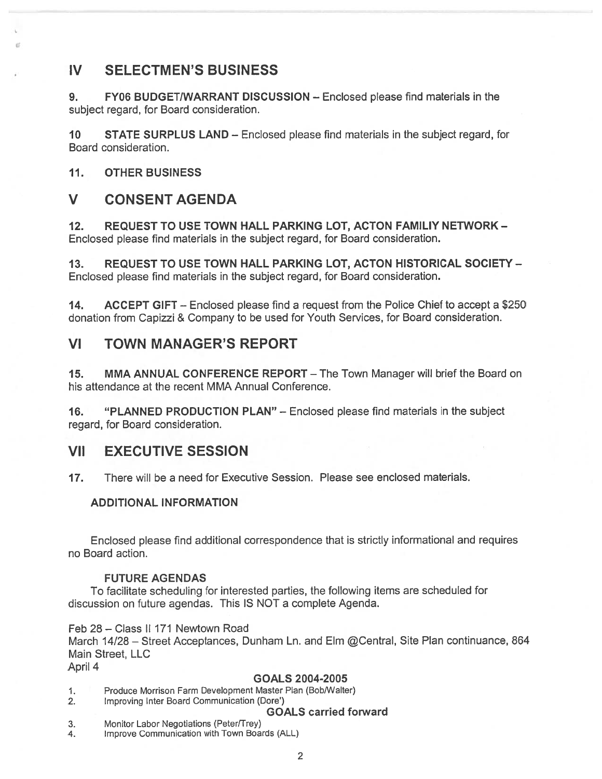## IV SELECTMEN'S BUSINESS

9. FY06 BUDGET/WARRANT DISCUSSION — Enclosed please find materials in the subject regard, for Board consideration.

10 STATE SURPLUS LAND — Enclosed please find materials in the subject regard, for Board consideration.

11. OTHER BUSINESS

### V CONSENT AGENDA

12. REQUEST TO USE TOWN HALL PARKING LOT, ACTON FAMILIY NETWORK - Enclosed please find materials in the subject regard, for Board consideration.

13. REQUEST TO USE TOWN HALL PARKING LOT, ACTON HISTORICAL SOCIETY — Enclosed please find materials in the subject regard, for Board consideration.

14. ACCEPT GIFT – Enclosed please find a request from the Police Chief to accept a \$250 donation from Capizzi & Company to be used for Youth Services, for Board consideration.

### VI TOWN MANAGER'S REPORT

15. MMA ANNUAL CONFERENCE REPORT - The Town Manager will brief the Board on his attendance at the recent MMA Annual Conference.

16. "PLANNED PRODUCTION PLAN" — Enclosed please find materials in the subject regard, for Board consideration.

### VII EXECUTIVE SESSION

17. There will be <sup>a</sup> need for Executive Session. Please see enclosed materials.

#### ADDITIONAL INFORMATION

Enclosed please find additional correspondence that is strictly informational and requires no Board action.

#### FUTURE AGENDAS

To facilitate scheduling for interested parties, the following items are scheduled for discussion on future agendas. This IS NOT <sup>a</sup> complete Agenda.

Feb 28 - Class II 171 Newtown Road March 14/28 - Street Acceptances, Dunham Ln. and Elm @Central, Site Plan continuance, 864 Main Street, LLC April 4

#### GOALS 2004-2005

- 1. Produce Morrison Farm Development Master Plan (Bob/Walter)
- 2. Improving Inter Board Communication (Dote')

#### GOALS carried forward

- 3. Monitor Labor Negotiations (Peter/Trey)
- 4. Improve Communication with Town Boards (ALL)